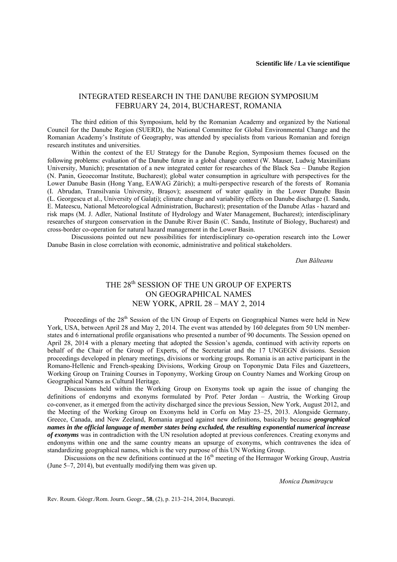## INTEGRATED RESEARCH IN THE DANUBE REGION SYMPOSIUM FEBRUARY 24, 2014, BUCHAREST, ROMANIA

The third edition of this Symposium, held by the Romanian Academy and organized by the National Council for the Danube Region (SUERD), the National Committee for Global Environmental Change and the Romanian Academy's Institute of Geography, was attended by specialists from various Romanian and foreign research institutes and universities.

Within the context of the EU Strategy for the Danube Region, Symposium themes focused on the following problems: evaluation of the Danube future in a global change context (W. Mauser, Ludwig Maximilians University, Munich); presentation of a new integrated center for researches of the Black Sea – Danube Region (N. Panin, Geoecomar Institute, Bucharest); global water consumption in agriculture with perspectives for the Lower Danube Basin (Hong Yang, EAWAG Zürich); a multi-perspective research of the forests of Romania (I. Abrudan, Transilvania University, Braşov); assesment of water quality in the Lower Danube Basin (L. Georgescu et al., University of Galaţi); climate change and variability effects on Danube discharge (I. Sandu, E. Mateescu, National Meteorological Administration, Bucharest); presentation of the Danube Atlas - hazard and risk maps (M. J. Adler, National Institute of Hydrology and Water Management, Bucharest); interdisciplinary researches of sturgeon conservation in the Danube River Basin (C. Sandu, Institute of Biology, Bucharest) and cross-border co-operation for natural hazard management in the Lower Basin.

Discussions pointed out new possibilities for interdisciplinary co-operation research into the Lower Danube Basin in close correlation with economic, administrative and political stakeholders.

*Dan Bălteanu* 

## THE 28<sup>th</sup> SESSION OF THE UN GROUP OF EXPERTS ON GEOGRAPHICAL NAMES NEW YORK, APRIL 28 – MAY 2, 2014

Proceedings of the 28<sup>th</sup> Session of the UN Group of Experts on Geographical Names were held in New York, USA, between April 28 and May 2, 2014. The event was attended by 160 delegates from 50 UN memberstates and 6 international profile organisations who presented a number of 90 documents. The Session opened on April 28, 2014 with a plenary meeting that adopted the Session's agenda, continued with activity reports on behalf of the Chair of the Group of Experts, of the Secretariat and the 17 UNGEGN divisions. Session proceedings developed in plenary meetings, divisions or working groups. Romania is an active participant in the Romano-Hellenic and French-speaking Divisions, Working Group on Toponymic Data Files and Gazetteers, Working Group on Training Courses in Toponymy, Working Group on Country Names and Working Group on Geographical Names as Cultural Heritage.

Discussions held within the Working Group on Exonyms took up again the issue of changing the definitions of endonyms and exonyms formulated by Prof. Peter Jordan – Austria, the Working Group co-convener, as it emerged from the activity discharged since the previous Session, New York, August 2012, and the Meeting of the Working Group on Exonyms held in Corfu on May 23–25, 2013. Alongside Germany, Greece, Canada, and New Zeeland, Romania argued against new definitions, basically because *geographical names in the official language of member states being excluded, the resulting exponential numerical increase of exonyms* was in contradiction with the UN resolution adopted at previous conferences. Creating exonyms and endonyms within one and the same country means an upsurge of exonyms, which contravenes the idea of standardizing geographical names, which is the very purpose of this UN Working Group.

Discussions on the new definitions continued at the 16<sup>th</sup> meeting of the Hermagor Working Group, Austria (June 5–7, 2014), but eventually modifying them was given up.

*Monica Dumitraşcu* 

Rev. Roum. Géogr./Rom. Journ. Geogr., **58**, (2), p. 213–214, 2014, Bucureşti.